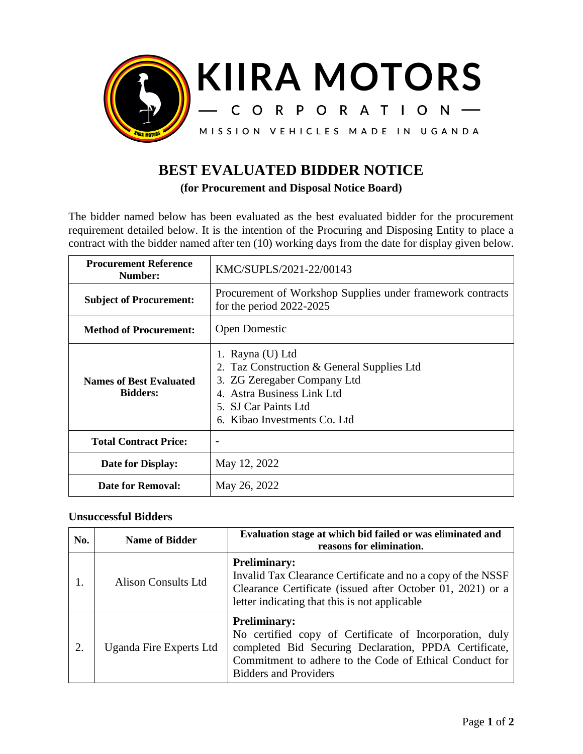

## **BEST EVALUATED BIDDER NOTICE**

**(for Procurement and Disposal Notice Board)**

The bidder named below has been evaluated as the best evaluated bidder for the procurement requirement detailed below. It is the intention of the Procuring and Disposing Entity to place a contract with the bidder named after ten (10) working days from the date for display given below.

| <b>Procurement Reference</b><br>Number:           | KMC/SUPLS/2021-22/00143                                                                                                                                                              |  |
|---------------------------------------------------|--------------------------------------------------------------------------------------------------------------------------------------------------------------------------------------|--|
| <b>Subject of Procurement:</b>                    | Procurement of Workshop Supplies under framework contracts<br>for the period $2022-2025$                                                                                             |  |
| <b>Method of Procurement:</b>                     | <b>Open Domestic</b>                                                                                                                                                                 |  |
| <b>Names of Best Evaluated</b><br><b>Bidders:</b> | 1. Rayna (U) Ltd<br>2. Taz Construction & General Supplies Ltd<br>3. ZG Zeregaber Company Ltd<br>4. Astra Business Link Ltd<br>5. SJ Car Paints Ltd.<br>6. Kibao Investments Co. Ltd |  |
| <b>Total Contract Price:</b>                      |                                                                                                                                                                                      |  |
| Date for Display:                                 | May 12, 2022                                                                                                                                                                         |  |
| <b>Date for Removal:</b>                          | May 26, 2022                                                                                                                                                                         |  |

## **Unsuccessful Bidders**

| No. | <b>Name of Bidder</b>      | Evaluation stage at which bid failed or was eliminated and<br>reasons for elimination.                                                                                                                                             |
|-----|----------------------------|------------------------------------------------------------------------------------------------------------------------------------------------------------------------------------------------------------------------------------|
|     | <b>Alison Consults Ltd</b> | <b>Preliminary:</b><br>Invalid Tax Clearance Certificate and no a copy of the NSSF<br>Clearance Certificate (issued after October 01, 2021) or a<br>letter indicating that this is not applicable                                  |
| 2.  | Uganda Fire Experts Ltd    | <b>Preliminary:</b><br>No certified copy of Certificate of Incorporation, duly<br>completed Bid Securing Declaration, PPDA Certificate,<br>Commitment to adhere to the Code of Ethical Conduct for<br><b>Bidders and Providers</b> |